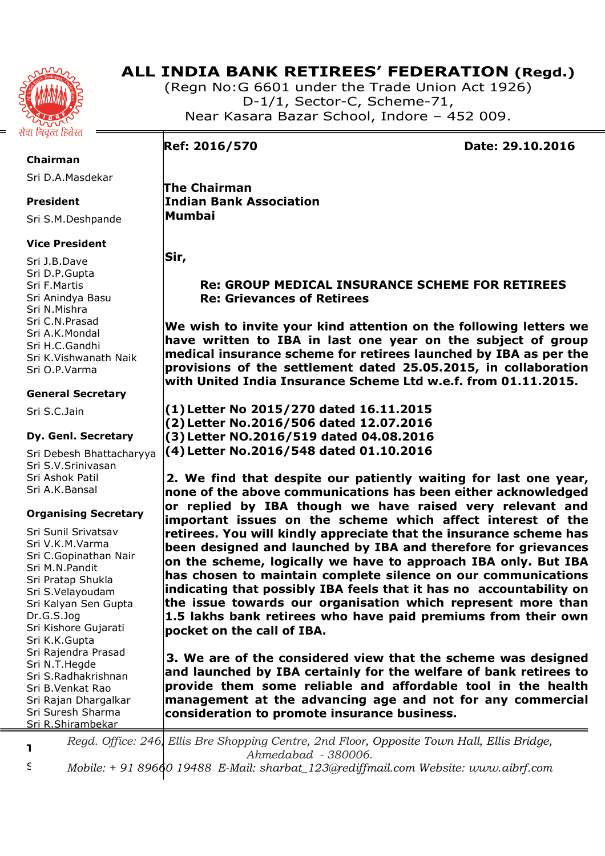

(Regn No:G 6601 under the Trade Union Act 1926) D-1/1, Sector-C, Scheme-71, Near Kasara Bazar School, Indore – 452 009.

**Ref: 2016/570 Date: 29.10.2016** 

 **The Chairman Indian Bank Association Mumbai** 

**Sir,** 

 **Re: GROUP MEDICAL INSURANCE SCHEME FOR RETIREES Re: Grievances of Retirees** 

**We wish to invite your kind attention on the following letters we have written to IBA in last one year on the subject of group medical insurance scheme for retirees launched by IBA as per the provisions of the settlement dated 25.05.2015, in collaboration with United India Insurance Scheme Ltd w.e.f. from 01.11.2015.** 

**(1)Letter No 2015/270 dated 16.11.2015 (2)Letter No.2016/506 dated 12.07.2016 (3)Letter NO.2016/519 dated 04.08.2016 (4)Letter No.2016/548 dated 01.10.2016** 

**2. We find that despite our patiently waiting for last one year, none of the above communications has been either acknowledged or replied by IBA though we have raised very relevant and important issues on the scheme which affect interest of the retirees. You will kindly appreciate that the insurance scheme has been designed and launched by IBA and therefore for grievances on the scheme, logically we have to approach IBA only. But IBA has chosen to maintain complete silence on our communications indicating that possibly IBA feels that it has no accountability on the issue towards our organisation which represent more than 1.5 lakhs bank retirees who have paid premiums from their own pocket on the call of IBA.** 

**3. We are of the considered view that the scheme was designed and launched by IBA certainly for the welfare of bank retirees to provide them some reliable and affordable tool in the health management at the advancing age and not for any commercial consideration to promote insurance business.** 

**Treasurer**  *Regd. Office: 246, Ellis Bre Shopping Centre, 2nd Floor, Opposite Town Hall, Ellis Bridge, Ahmedabad - 380006.* 

Sri M.S.Chourey *Mobile: + 91 89660 19488 E-Mail: sharbat\_123@rediffmail.com Website: www.aibrf.com* 

**Chairman**  Sri D.A.Masdekar

**President** 

Sri S.M.Deshpande

# **Vice President**

Sri J.B.Dave Sri D.P.Gupta Sri F.Martis Sri Anindya Basu Sri N.Mishra Sri C.N.Prasad Sri A.K.Mondal Sri H.C.Gandhi Sri K.Vishwanath Naik Sri O.P.Varma

## **General Secretary**

Sri S.C.Jain

# **Dy. Genl. Secretary**

Sri Debesh Bhattacharyya Sri S.V.Srinivasan Sri Ashok Patil Sri A.K.Bansal

# **Organising Secretary**

Sri Sunil Srivatsav Sri V.K.M.Varma Sri C.Gopinathan Nair Sri M.N.Pandit Sri Pratap Shukla Sri S.Velayoudam Sri Kalyan Sen Gupta Dr.G.S.Jog Sri Kishore Gujarati Sri K.K.Gupta Sri Rajendra Prasad Sri N.T.Hegde Sri S.Radhakrishnan Sri B.Venkat Rao Sri Rajan Dhargalkar Sri Suresh Sharma Sri R.Shirambekar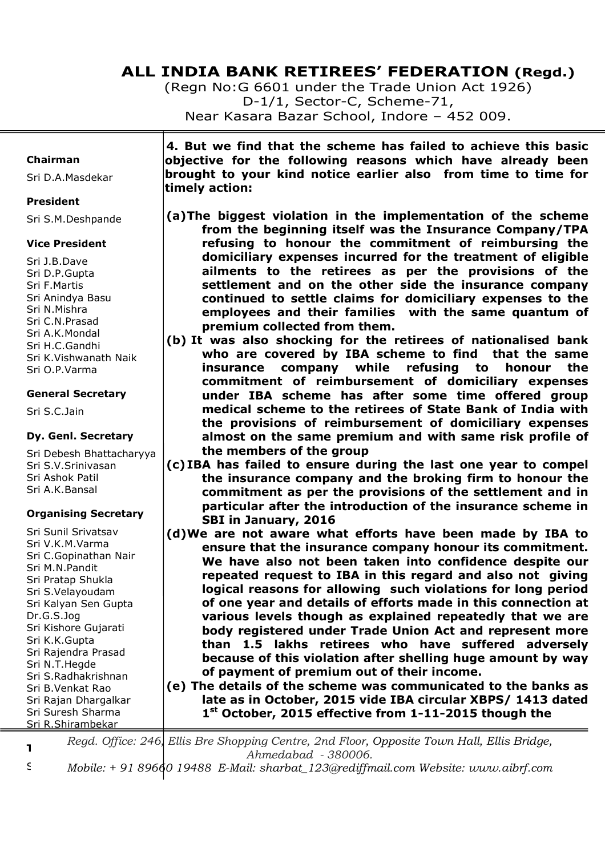(Regn No:G 6601 under the Trade Union Act 1926) D-1/1, Sector-C, Scheme-71, Near Kasara Bazar School, Indore – 452 009.

### **Chairman**

Sri D.A.Masdekar

### **President**

Sri S.M.Deshpande

## **Vice President**

Sri J.B.Dave Sri D.P.Gupta Sri F.Martis Sri Anindya Basu Sri N.Mishra Sri C.N.Prasad Sri A.K.Mondal Sri H.C.Gandhi Sri K.Vishwanath Naik Sri O.P.Varma

## **General Secretary**

Sri S.C.Jain

# **Dy. Genl. Secretary**

Sri Debesh Bhattacharyya Sri S.V.Srinivasan Sri Ashok Patil Sri A.K.Bansal

# **Organising Secretary**

Sri Sunil Srivatsav Sri V.K.M.Varma Sri C.Gopinathan Nair Sri M.N.Pandit Sri Pratap Shukla Sri S.Velayoudam Sri Kalyan Sen Gupta Dr.G.S.Jog Sri Kishore Gujarati Sri K.K.Gupta Sri Rajendra Prasad Sri N.T.Hegde Sri S.Radhakrishnan Sri B.Venkat Rao Sri Rajan Dhargalkar Sri Suresh Sharma Sri R.Shirambekar

**4. But we find that the scheme has failed to achieve this basic objective for the following reasons which have already been brought to your kind notice earlier also from time to time for timely action:** 

- **(a)The biggest violation in the implementation of the scheme from the beginning itself was the Insurance Company/TPA refusing to honour the commitment of reimbursing the domiciliary expenses incurred for the treatment of eligible ailments to the retirees as per the provisions of the settlement and on the other side the insurance company continued to settle claims for domiciliary expenses to the employees and their families with the same quantum of premium collected from them.**
- **(b) It was also shocking for the retirees of nationalised bank who are covered by IBA scheme to find that the same insurance company while refusing to honour the commitment of reimbursement of domiciliary expenses under IBA scheme has after some time offered group medical scheme to the retirees of State Bank of India with the provisions of reimbursement of domiciliary expenses almost on the same premium and with same risk profile of the members of the group**
- **(c) IBA has failed to ensure during the last one year to compel the insurance company and the broking firm to honour the commitment as per the provisions of the settlement and in particular after the introduction of the insurance scheme in SBI in January, 2016**
- **(d)We are not aware what efforts have been made by IBA to ensure that the insurance company honour its commitment. We have also not been taken into confidence despite our repeated request to IBA in this regard and also not giving logical reasons for allowing such violations for long period of one year and details of efforts made in this connection at various levels though as explained repeatedly that we are body registered under Trade Union Act and represent more than 1.5 lakhs retirees who have suffered adversely because of this violation after shelling huge amount by way of payment of premium out of their income.**

**(e) The details of the scheme was communicated to the banks as late as in October, 2015 vide IBA circular XBPS/ 1413 dated 1 st October, 2015 effective from 1-11-2015 though the** 

**Treasurer**  *Regd. Office: 246, Ellis Bre Shopping Centre, 2nd Floor, Opposite Town Hall, Ellis Bridge, Ahmedabad - 380006.*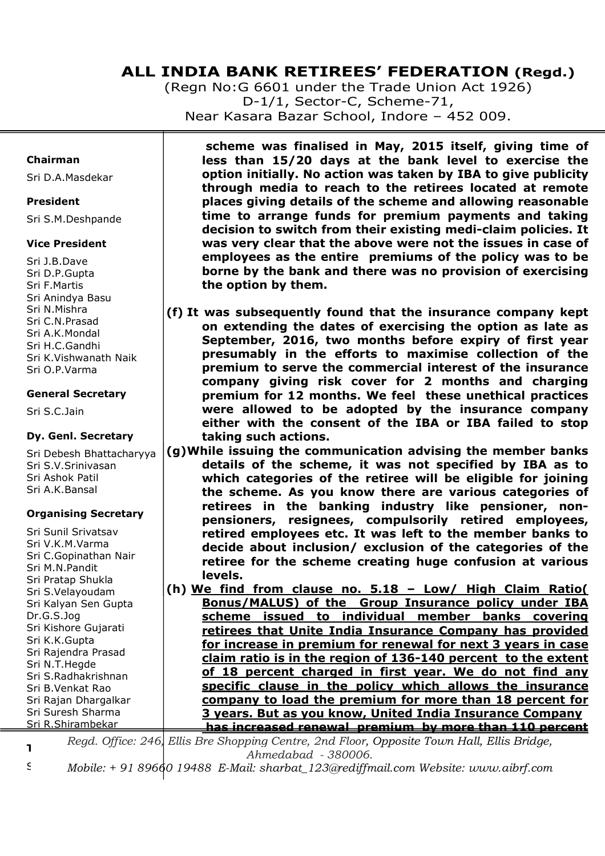(Regn No:G 6601 under the Trade Union Act 1926) D-1/1, Sector-C, Scheme-71, Near Kasara Bazar School, Indore – 452 009.

### **Chairman**

Sri D.A.Masdekar

## **President**

Sri S.M.Deshpande

## **Vice President**

Sri J.B.Dave Sri D.P.Gupta Sri F.Martis Sri Anindya Basu Sri N.Mishra Sri C.N.Prasad Sri A.K.Mondal Sri H.C.Gandhi Sri K.Vishwanath Naik Sri O.P.Varma

## **General Secretary**

Sri S.C.Jain

# **Dy. Genl. Secretary**

Sri Debesh Bhattacharyya Sri S.V.Srinivasan Sri Ashok Patil Sri A.K.Bansal

# **Organising Secretary**

Sri Sunil Srivatsav Sri V.K.M.Varma Sri C.Gopinathan Nair Sri M.N.Pandit Sri Pratap Shukla Sri S.Velayoudam Sri Kalyan Sen Gupta Dr.G.S.Jog Sri Kishore Gujarati Sri K.K.Gupta Sri Rajendra Prasad Sri N.T.Hegde Sri S.Radhakrishnan Sri B.Venkat Rao Sri Rajan Dhargalkar Sri Suresh Sharma Sri R.Shirambekar

 **scheme was finalised in May, 2015 itself, giving time of less than 15/20 days at the bank level to exercise the option initially. No action was taken by IBA to give publicity through media to reach to the retirees located at remote places giving details of the scheme and allowing reasonable time to arrange funds for premium payments and taking decision to switch from their existing medi-claim policies. It was very clear that the above were not the issues in case of employees as the entire premiums of the policy was to be borne by the bank and there was no provision of exercising the option by them.** 

- **(f) It was subsequently found that the insurance company kept on extending the dates of exercising the option as late as September, 2016, two months before expiry of first year presumably in the efforts to maximise collection of the premium to serve the commercial interest of the insurance company giving risk cover for 2 months and charging premium for 12 months. We feel these unethical practices were allowed to be adopted by the insurance company either with the consent of the IBA or IBA failed to stop taking such actions.**
- **(g)While issuing the communication advising the member banks details of the scheme, it was not specified by IBA as to which categories of the retiree will be eligible for joining the scheme. As you know there are various categories of retirees in the banking industry like pensioner, nonpensioners, resignees, compulsorily retired employees, retired employees etc. It was left to the member banks to decide about inclusion/ exclusion of the categories of the retiree for the scheme creating huge confusion at various levels.**
- **(h) We find from clause no. 5.18 Low/ High Claim Ratio( Bonus/MALUS) of the Group Insurance policy under IBA scheme issued to individual member banks covering retirees that Unite India Insurance Company has provided for increase in premium for renewal for next 3 years in case claim ratio is in the region of 136-140 percent to the extent of 18 percent charged in first year. We do not find any specific clause in the policy which allows the insurance company to load the premium for more than 18 percent for 3 years. But as you know, United India Insurance Company has increased renewal premium by more than 110 percent**

**Treasurer**  *Regd. Office: 246, Ellis Bre Shopping Centre, 2nd Floor, Opposite Town Hall, Ellis Bridge,*  *Ahmedabad - 380006.*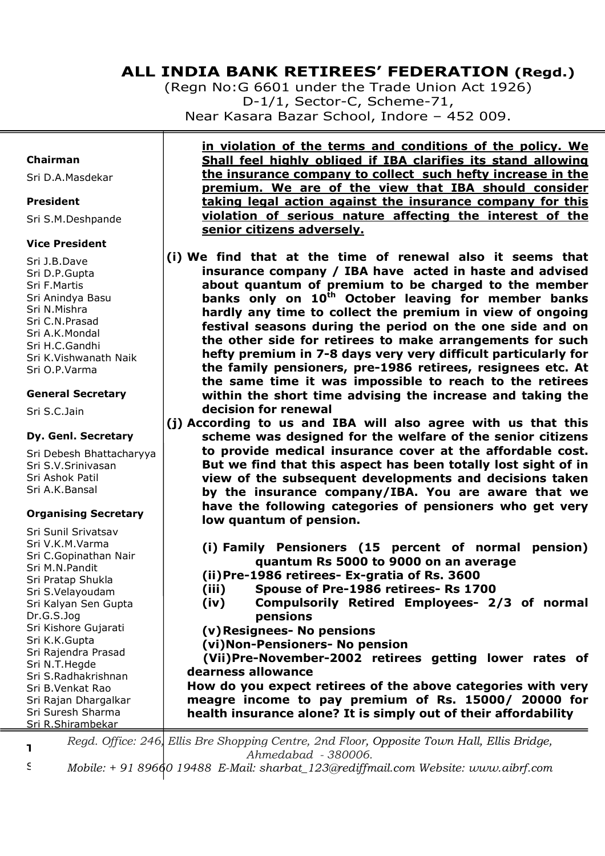(Regn No:G 6601 under the Trade Union Act 1926) D-1/1, Sector-C, Scheme-71, Near Kasara Bazar School, Indore – 452 009.

#### **Chairman**

Sri D.A.Masdekar

#### **President**

Sri S.M.Deshpande

#### **Vice President**

Sri J.B.Dave Sri D.P.Gupta Sri F.Martis Sri Anindya Basu Sri N.Mishra Sri C.N.Prasad Sri A.K.Mondal Sri H.C.Gandhi Sri K.Vishwanath Naik Sri O.P.Varma

#### **General Secretary**

Sri S.C.Jain

#### **Dy. Genl. Secretary**

Sri Debesh Bhattacharyya Sri S.V.Srinivasan Sri Ashok Patil Sri A.K.Bansal

#### **Organising Secretary**

Sri Sunil Srivatsav Sri V.K.M.Varma Sri C.Gopinathan Nair Sri M.N.Pandit Sri Pratap Shukla Sri S.Velayoudam Sri Kalyan Sen Gupta Dr.G.S.Jog Sri Kishore Gujarati Sri K.K.Gupta Sri Rajendra Prasad Sri N.T.Hegde Sri S.Radhakrishnan Sri B.Venkat Rao Sri Rajan Dhargalkar Sri Suresh Sharma Sri R.Shirambekar

**in violation of the terms and conditions of the policy. We Shall feel highly obliged if IBA clarifies its stand allowing the insurance company to collect such hefty increase in the premium. We are of the view that IBA should consider taking legal action against the insurance company for this violation of serious nature affecting the interest of the senior citizens adversely.** 

- **(i) We find that at the time of renewal also it seems that insurance company / IBA have acted in haste and advised about quantum of premium to be charged to the member banks only on 10th October leaving for member banks hardly any time to collect the premium in view of ongoing festival seasons during the period on the one side and on the other side for retirees to make arrangements for such hefty premium in 7-8 days very very difficult particularly for the family pensioners, pre-1986 retirees, resignees etc. At the same time it was impossible to reach to the retirees within the short time advising the increase and taking the decision for renewal**
- **(j) According to us and IBA will also agree with us that this scheme was designed for the welfare of the senior citizens to provide medical insurance cover at the affordable cost. But we find that this aspect has been totally lost sight of in view of the subsequent developments and decisions taken by the insurance company/IBA. You are aware that we have the following categories of pensioners who get very low quantum of pension.** 
	- **(i) Family Pensioners (15 percent of normal pension) quantum Rs 5000 to 9000 on an average**
	- **(ii)Pre-1986 retirees- Ex-gratia of Rs. 3600**
	- **(iii) Spouse of Pre-1986 retirees- Rs 1700**
	- **(iv) Compulsorily Retired Employees- 2/3 of normal pensions**

**(v)Resignees- No pensions** 

**(vi)Non-Pensioners- No pension** 

 **(Vii)Pre-November-2002 retirees getting lower rates of dearness allowance** 

**How do you expect retirees of the above categories with very meagre income to pay premium of Rs. 15000/ 20000 for health insurance alone? It is simply out of their affordability** 

**Treasurer**  *Regd. Office: 246, Ellis Bre Shopping Centre, 2nd Floor, Opposite Town Hall, Ellis Bridge, Ahmedabad - 380006.*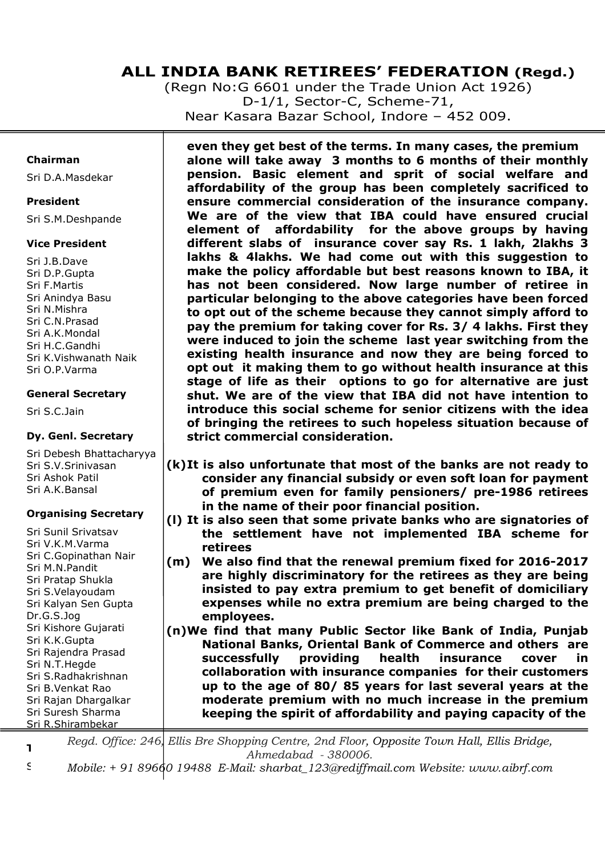(Regn No:G 6601 under the Trade Union Act 1926) D-1/1, Sector-C, Scheme-71, Near Kasara Bazar School, Indore – 452 009.

### **Chairman**

Sri D.A.Masdekar

#### **President**

Sri S.M.Deshpande

## **Vice President**

Sri J.B.Dave Sri D.P.Gupta Sri F.Martis Sri Anindya Basu Sri N.Mishra Sri C.N.Prasad Sri A.K.Mondal Sri H.C.Gandhi Sri K.Vishwanath Naik Sri O.P.Varma

## **General Secretary**

Sri S.C.Jain

# **Dy. Genl. Secretary**

Sri Debesh Bhattacharyya Sri S.V.Srinivasan Sri Ashok Patil Sri A.K.Bansal

# **Organising Secretary**

Sri Sunil Srivatsav Sri V.K.M.Varma Sri C.Gopinathan Nair Sri M.N.Pandit Sri Pratap Shukla Sri S.Velayoudam Sri Kalyan Sen Gupta Dr.G.S.Jog Sri Kishore Gujarati Sri K.K.Gupta Sri Rajendra Prasad Sri N.T.Hegde Sri S.Radhakrishnan Sri B.Venkat Rao Sri Rajan Dhargalkar Sri Suresh Sharma Sri R.Shirambekar

 **even they get best of the terms. In many cases, the premium alone will take away 3 months to 6 months of their monthly pension. Basic element and sprit of social welfare and affordability of the group has been completely sacrificed to ensure commercial consideration of the insurance company. We are of the view that IBA could have ensured crucial element of affordability for the above groups by having different slabs of insurance cover say Rs. 1 lakh, 2lakhs 3 lakhs & 4lakhs. We had come out with this suggestion to make the policy affordable but best reasons known to IBA, it has not been considered. Now large number of retiree in particular belonging to the above categories have been forced to opt out of the scheme because they cannot simply afford to pay the premium for taking cover for Rs. 3/ 4 lakhs. First they were induced to join the scheme last year switching from the existing health insurance and now they are being forced to opt out it making them to go without health insurance at this stage of life as their options to go for alternative are just shut. We are of the view that IBA did not have intention to introduce this social scheme for senior citizens with the idea of bringing the retirees to such hopeless situation because of strict commercial consideration.** 

- **(k)It is also unfortunate that most of the banks are not ready to consider any financial subsidy or even soft loan for payment of premium even for family pensioners/ pre-1986 retirees in the name of their poor financial position.**
- **(l) It is also seen that some private banks who are signatories of the settlement have not implemented IBA scheme for retirees**
- **(m) We also find that the renewal premium fixed for 2016-2017 are highly discriminatory for the retirees as they are being insisted to pay extra premium to get benefit of domiciliary expenses while no extra premium are being charged to the employees.**
- **(n)We find that many Public Sector like Bank of India, Punjab National Banks, Oriental Bank of Commerce and others are successfully providing health insurance cover in collaboration with insurance companies for their customers up to the age of 80/ 85 years for last several years at the moderate premium with no much increase in the premium keeping the spirit of affordability and paying capacity of the**

**Treasurer**  *Regd. Office: 246, Ellis Bre Shopping Centre, 2nd Floor, Opposite Town Hall, Ellis Bridge, Ahmedabad - 380006.*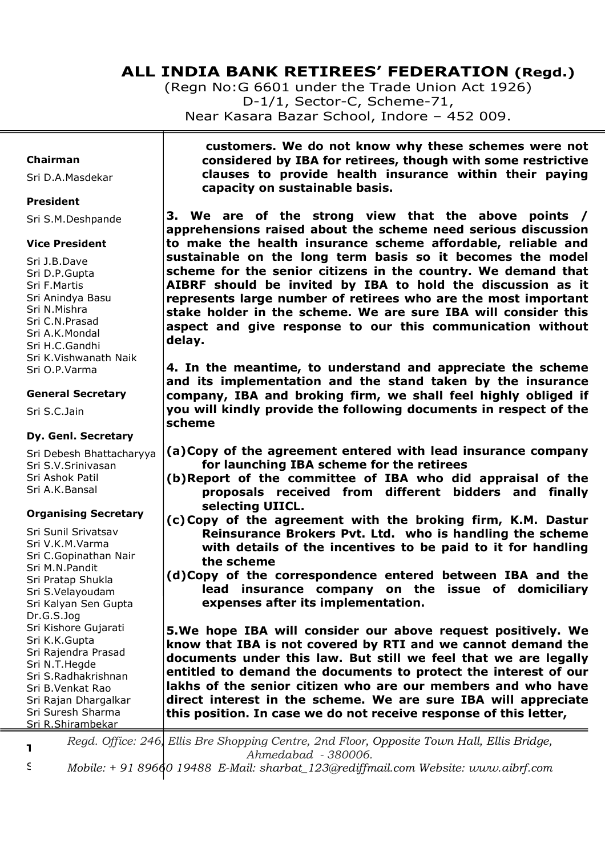(Regn No:G 6601 under the Trade Union Act 1926) D-1/1, Sector-C, Scheme-71, Near Kasara Bazar School, Indore – 452 009.

#### **Chairman**

Sri D.A.Masdekar

#### **President**

Sri S.M.Deshpande

#### **Vice President**

Sri J.B.Dave Sri D.P.Gupta Sri F.Martis Sri Anindya Basu Sri N.Mishra Sri C.N.Prasad Sri A.K.Mondal Sri H.C.Gandhi Sri K.Vishwanath Naik Sri O.P.Varma

#### **General Secretary**

Sri S.C.Jain

#### **Dy. Genl. Secretary**

Sri Debesh Bhattacharyya Sri S.V.Srinivasan Sri Ashok Patil Sri A.K.Bansal

#### **Organising Secretary**

Sri Sunil Srivatsav Sri V.K.M.Varma Sri C.Gopinathan Nair Sri M.N.Pandit Sri Pratap Shukla Sri S.Velayoudam Sri Kalyan Sen Gupta Dr.G.S.Jog Sri Kishore Gujarati Sri K.K.Gupta Sri Rajendra Prasad Sri N.T.Hegde Sri S.Radhakrishnan Sri B.Venkat Rao Sri Rajan Dhargalkar Sri Suresh Sharma Sri R.Shirambekar

 **customers. We do not know why these schemes were not considered by IBA for retirees, though with some restrictive clauses to provide health insurance within their paying capacity on sustainable basis.** 

**3. We are of the strong view that the above points / apprehensions raised about the scheme need serious discussion to make the health insurance scheme affordable, reliable and sustainable on the long term basis so it becomes the model scheme for the senior citizens in the country. We demand that AIBRF should be invited by IBA to hold the discussion as it represents large number of retirees who are the most important stake holder in the scheme. We are sure IBA will consider this aspect and give response to our this communication without delay.** 

**4. In the meantime, to understand and appreciate the scheme and its implementation and the stand taken by the insurance company, IBA and broking firm, we shall feel highly obliged if you will kindly provide the following documents in respect of the scheme** 

- **(a)Copy of the agreement entered with lead insurance company for launching IBA scheme for the retirees**
- **(b)Report of the committee of IBA who did appraisal of the proposals received from different bidders and finally selecting UIICL.**
- **(c)Copy of the agreement with the broking firm, K.M. Dastur Reinsurance Brokers Pvt. Ltd. who is handling the scheme with details of the incentives to be paid to it for handling the scheme**
- **(d)Copy of the correspondence entered between IBA and the lead insurance company on the issue of domiciliary expenses after its implementation.**

**5.We hope IBA will consider our above request positively. We know that IBA is not covered by RTI and we cannot demand the documents under this law. But still we feel that we are legally entitled to demand the documents to protect the interest of our lakhs of the senior citizen who are our members and who have direct interest in the scheme. We are sure IBA will appreciate this position. In case we do not receive response of this letter,** 

**Treasurer**  *Regd. Office: 246, Ellis Bre Shopping Centre, 2nd Floor, Opposite Town Hall, Ellis Bridge, Ahmedabad - 380006.*